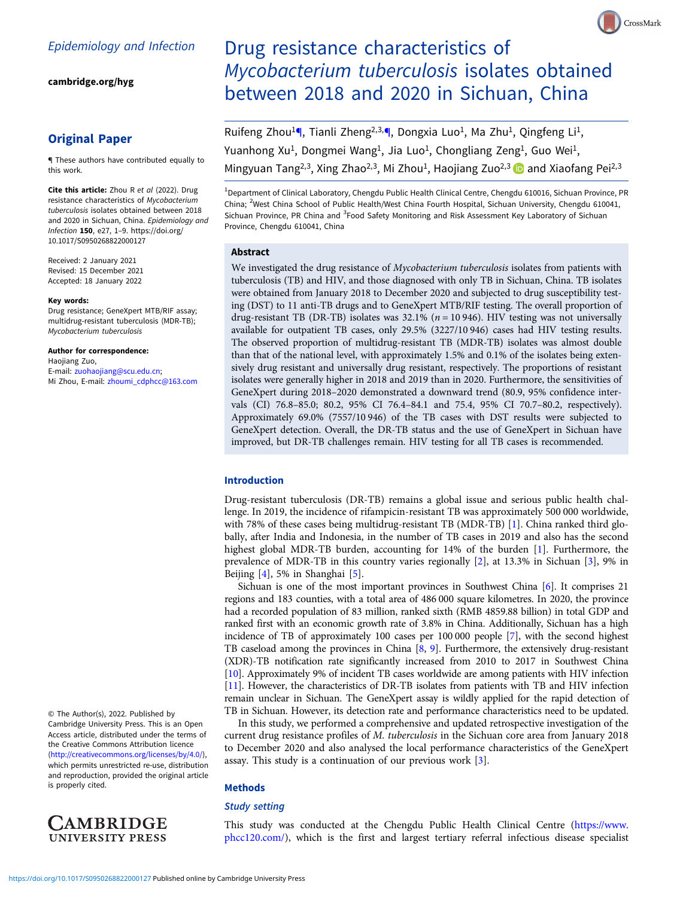[cambridge.org/hyg](https://www.cambridge.org/hyg)

# Original Paper

¶ These authors have contributed equally to this work.

Cite this article: Zhou R et al (2022). Drug resistance characteristics of Mycobacterium tuberculosis isolates obtained between 2018 and 2020 in Sichuan, China. Epidemiology and Infection 150, e27, 1–9. [https://doi.org/](https://doi.org/10.1017/S0950268822000127) [10.1017/S0950268822000127](https://doi.org/10.1017/S0950268822000127)

Received: 2 January 2021 Revised: 15 December 2021 Accepted: 18 January 2022

#### Key words:

Drug resistance; GeneXpert MTB/RIF assay; multidrug-resistant tuberculosis (MDR-TB); Mycobacterium tuberculosis

#### Author for correspondence:

Haojiang Zuo, E-mail: [zuohaojiang@scu.edu.cn;](mailto:zuohaojiang@scu.edu.cn) Mi Zhou, E-mail: [zhoumi\\_cdphcc@163.com](mailto:zhoumi_cdphcc@163.com)

© The Author(s), 2022. Published by Cambridge University Press. This is an Open Access article, distributed under the terms of the Creative Commons Attribution licence ([http://creativecommons.org/licenses/by/4.0/\)](http://creativecommons.org/licenses/by/4.0/), which permits unrestricted re-use, distribution and reproduction, provided the original article is properly cited.



# Drug resistance characteristics of Mycobacterium tuberculosis isolates obtained between 2018 and 2020 in Sichuan, China

Ruifeng Zhou<sup>1</sup>, Tianli Zheng<sup>2,3,</sup>, Dongxia Luo<sup>1</sup>, Ma Zhu<sup>1</sup>, Qingfeng Li<sup>1</sup>, Yuanhong Xu<sup>1</sup>, Dongmei Wang<sup>1</sup>, Jia Luo<sup>1</sup>, Chongliang Zeng<sup>1</sup>, Guo Wei<sup>1</sup>, Mingyuan Tang<sup>2,3</sup>, Xing Zhao<sup>2,3</sup>, Mi Zhou<sup>1</sup>, Haojiang Zuo<sup>2,3</sup> and Xiaofang Pei<sup>2,3</sup>

<sup>1</sup>Department of Clinical Laboratory, Chengdu Public Health Clinical Centre, Chengdu 610016, Sichuan Province, PR China; <sup>2</sup>West China School of Public Health/West China Fourth Hospital, Sichuan University, Chengdu 610041, Sichuan Province, PR China and <sup>3</sup>Food Safety Monitoring and Risk Assessment Key Laboratory of Sichuan Province, Chengdu 610041, China

# Abstract

We investigated the drug resistance of *Mycobacterium tuberculosis* isolates from patients with tuberculosis (TB) and HIV, and those diagnosed with only TB in Sichuan, China. TB isolates were obtained from January 2018 to December 2020 and subjected to drug susceptibility testing (DST) to 11 anti-TB drugs and to GeneXpert MTB/RIF testing. The overall proportion of drug-resistant TB (DR-TB) isolates was 32.1% ( $n = 10946$ ). HIV testing was not universally available for outpatient TB cases, only 29.5% (3227/10 946) cases had HIV testing results. The observed proportion of multidrug-resistant TB (MDR-TB) isolates was almost double than that of the national level, with approximately 1.5% and 0.1% of the isolates being extensively drug resistant and universally drug resistant, respectively. The proportions of resistant isolates were generally higher in 2018 and 2019 than in 2020. Furthermore, the sensitivities of GeneXpert during 2018–2020 demonstrated a downward trend (80.9, 95% confidence intervals (CI) 76.8–85.0; 80.2, 95% CI 76.4–84.1 and 75.4, 95% CI 70.7–80.2, respectively). Approximately 69.0% (7557/10 946) of the TB cases with DST results were subjected to GeneXpert detection. Overall, the DR-TB status and the use of GeneXpert in Sichuan have improved, but DR-TB challenges remain. HIV testing for all TB cases is recommended.

# Introduction

Drug-resistant tuberculosis (DR-TB) remains a global issue and serious public health challenge. In 2019, the incidence of rifampicin-resistant TB was approximately 500 000 worldwide, with 78% of these cases being multidrug-resistant TB (MDR-TB) [\[1\]](#page-7-0). China ranked third globally, after India and Indonesia, in the number of TB cases in 2019 and also has the second highest global MDR-TB burden, accounting for 14% of the burden [[1\]](#page-7-0). Furthermore, the prevalence of MDR-TB in this country varies regionally [\[2\]](#page-7-0), at 13.3% in Sichuan [[3](#page-7-0)], 9% in Beijing  $[4]$ , [5](#page-7-0)% in Shanghai  $[5]$ .

Sichuan is one of the most important provinces in Southwest China [\[6\]](#page-7-0). It comprises 21 regions and 183 counties, with a total area of 486 000 square kilometres. In 2020, the province had a recorded population of 83 million, ranked sixth (RMB 4859.88 billion) in total GDP and ranked first with an economic growth rate of 3.8% in China. Additionally, Sichuan has a high incidence of TB of approximately 100 cases per 100 000 people [[7](#page-7-0)], with the second highest TB caseload among the provinces in China [\[8,](#page-7-0) [9\]](#page-7-0). Furthermore, the extensively drug-resistant (XDR)-TB notification rate significantly increased from 2010 to 2017 in Southwest China [[10\]](#page-7-0). Approximately 9% of incident TB cases worldwide are among patients with HIV infection [[11\]](#page-7-0). However, the characteristics of DR-TB isolates from patients with TB and HIV infection remain unclear in Sichuan. The GeneXpert assay is wildly applied for the rapid detection of TB in Sichuan. However, its detection rate and performance characteristics need to be updated.

In this study, we performed a comprehensive and updated retrospective investigation of the current drug resistance profiles of M. tuberculosis in the Sichuan core area from January 2018 to December 2020 and also analysed the local performance characteristics of the GeneXpert assay. This study is a continuation of our previous work [[3](#page-7-0)].

# Methods

#### Study setting

This study was conducted at the Chengdu Public Health Clinical Centre ([https://www.](https://www.phcc120.com/) [phcc120.com/\)](https://www.phcc120.com/), which is the first and largest tertiary referral infectious disease specialist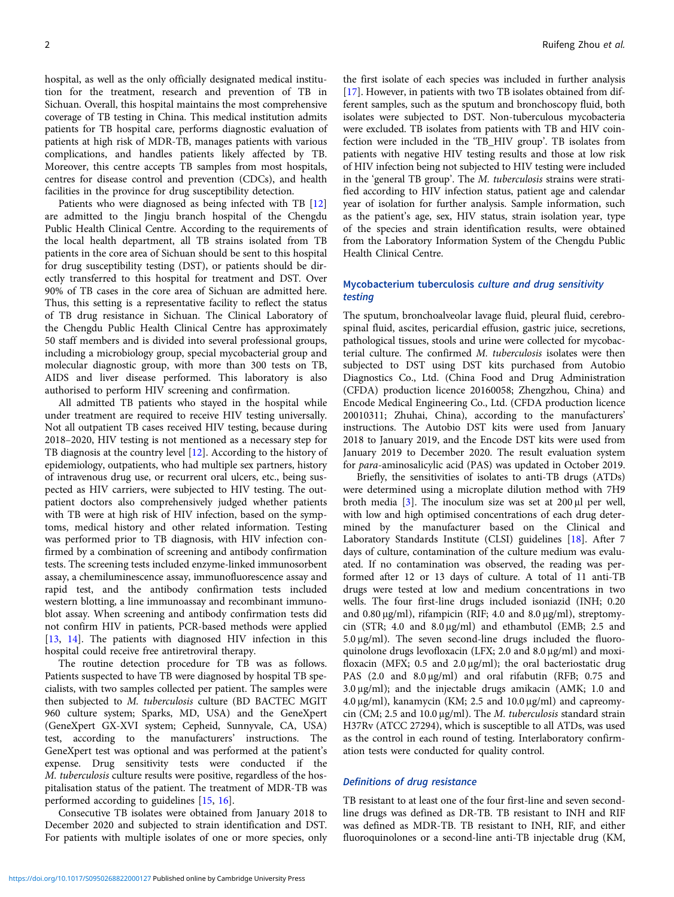hospital, as well as the only officially designated medical institution for the treatment, research and prevention of TB in Sichuan. Overall, this hospital maintains the most comprehensive coverage of TB testing in China. This medical institution admits patients for TB hospital care, performs diagnostic evaluation of patients at high risk of MDR-TB, manages patients with various complications, and handles patients likely affected by TB. Moreover, this centre accepts TB samples from most hospitals, centres for disease control and prevention (CDCs), and health facilities in the province for drug susceptibility detection.

Patients who were diagnosed as being infected with TB [[12\]](#page-8-0) are admitted to the Jingju branch hospital of the Chengdu Public Health Clinical Centre. According to the requirements of the local health department, all TB strains isolated from TB patients in the core area of Sichuan should be sent to this hospital for drug susceptibility testing (DST), or patients should be directly transferred to this hospital for treatment and DST. Over 90% of TB cases in the core area of Sichuan are admitted here. Thus, this setting is a representative facility to reflect the status of TB drug resistance in Sichuan. The Clinical Laboratory of the Chengdu Public Health Clinical Centre has approximately 50 staff members and is divided into several professional groups, including a microbiology group, special mycobacterial group and molecular diagnostic group, with more than 300 tests on TB, AIDS and liver disease performed. This laboratory is also authorised to perform HIV screening and confirmation.

All admitted TB patients who stayed in the hospital while under treatment are required to receive HIV testing universally. Not all outpatient TB cases received HIV testing, because during 2018–2020, HIV testing is not mentioned as a necessary step for TB diagnosis at the country level [[12\]](#page-8-0). According to the history of epidemiology, outpatients, who had multiple sex partners, history of intravenous drug use, or recurrent oral ulcers, etc., being suspected as HIV carriers, were subjected to HIV testing. The outpatient doctors also comprehensively judged whether patients with TB were at high risk of HIV infection, based on the symptoms, medical history and other related information. Testing was performed prior to TB diagnosis, with HIV infection confirmed by a combination of screening and antibody confirmation tests. The screening tests included enzyme-linked immunosorbent assay, a chemiluminescence assay, immunofluorescence assay and rapid test, and the antibody confirmation tests included western blotting, a line immunoassay and recombinant immunoblot assay. When screening and antibody confirmation tests did not confirm HIV in patients, PCR-based methods were applied [[13](#page-8-0), [14\]](#page-8-0). The patients with diagnosed HIV infection in this hospital could receive free antiretroviral therapy.

The routine detection procedure for TB was as follows. Patients suspected to have TB were diagnosed by hospital TB specialists, with two samples collected per patient. The samples were then subjected to M. tuberculosis culture (BD BACTEC MGIT 960 culture system; Sparks, MD, USA) and the GeneXpert (GeneXpert GX-XVI system; Cepheid, Sunnyvale, CA, USA) test, according to the manufacturers' instructions. The GeneXpert test was optional and was performed at the patient's expense. Drug sensitivity tests were conducted if the M. tuberculosis culture results were positive, regardless of the hospitalisation status of the patient. The treatment of MDR-TB was performed according to guidelines [[15,](#page-8-0) [16\]](#page-8-0).

Consecutive TB isolates were obtained from January 2018 to December 2020 and subjected to strain identification and DST. For patients with multiple isolates of one or more species, only

the first isolate of each species was included in further analysis [[17\]](#page-8-0). However, in patients with two TB isolates obtained from different samples, such as the sputum and bronchoscopy fluid, both isolates were subjected to DST. Non-tuberculous mycobacteria were excluded. TB isolates from patients with TB and HIV coinfection were included in the 'TB\_HIV group'. TB isolates from patients with negative HIV testing results and those at low risk of HIV infection being not subjected to HIV testing were included in the 'general TB group'. The M. tuberculosis strains were stratified according to HIV infection status, patient age and calendar year of isolation for further analysis. Sample information, such as the patient's age, sex, HIV status, strain isolation year, type of the species and strain identification results, were obtained from the Laboratory Information System of the Chengdu Public Health Clinical Centre.

# Mycobacterium tuberculosis culture and drug sensitivity testing

The sputum, bronchoalveolar lavage fluid, pleural fluid, cerebrospinal fluid, ascites, pericardial effusion, gastric juice, secretions, pathological tissues, stools and urine were collected for mycobacterial culture. The confirmed M. tuberculosis isolates were then subjected to DST using DST kits purchased from Autobio Diagnostics Co., Ltd. (China Food and Drug Administration (CFDA) production licence 20160058; Zhengzhou, China) and Encode Medical Engineering Co., Ltd. (CFDA production licence 20010311; Zhuhai, China), according to the manufacturers' instructions. The Autobio DST kits were used from January 2018 to January 2019, and the Encode DST kits were used from January 2019 to December 2020. The result evaluation system for para-aminosalicylic acid (PAS) was updated in October 2019.

Briefly, the sensitivities of isolates to anti-TB drugs (ATDs) were determined using a microplate dilution method with 7H9 broth media [[3](#page-7-0)]. The inoculum size was set at 200 μl per well, with low and high optimised concentrations of each drug determined by the manufacturer based on the Clinical and Laboratory Standards Institute (CLSI) guidelines [[18\]](#page-8-0). After 7 days of culture, contamination of the culture medium was evaluated. If no contamination was observed, the reading was performed after 12 or 13 days of culture. A total of 11 anti-TB drugs were tested at low and medium concentrations in two wells. The four first-line drugs included isoniazid (INH; 0.20 and 0.80 μg/ml), rifampicin (RIF; 4.0 and 8.0 μg/ml), streptomycin (STR; 4.0 and 8.0 μg/ml) and ethambutol (EMB; 2.5 and 5.0 μg/ml). The seven second-line drugs included the fluoroquinolone drugs levofloxacin (LFX; 2.0 and 8.0 μg/ml) and moxifloxacin (MFX; 0.5 and 2.0 μg/ml); the oral bacteriostatic drug PAS (2.0 and 8.0 μg/ml) and oral rifabutin (RFB; 0.75 and 3.0 μg/ml); and the injectable drugs amikacin (AMK; 1.0 and 4.0 μg/ml), kanamycin (KM; 2.5 and 10.0 μg/ml) and capreomycin (CM; 2.5 and 10.0  $\mu$ g/ml). The *M. tuberculosis* standard strain H37Rv (ATCC 27294), which is susceptible to all ATDs, was used as the control in each round of testing. Interlaboratory confirmation tests were conducted for quality control.

# Definitions of drug resistance

TB resistant to at least one of the four first-line and seven secondline drugs was defined as DR-TB. TB resistant to INH and RIF was defined as MDR-TB. TB resistant to INH, RIF, and either fluoroquinolones or a second-line anti-TB injectable drug (KM,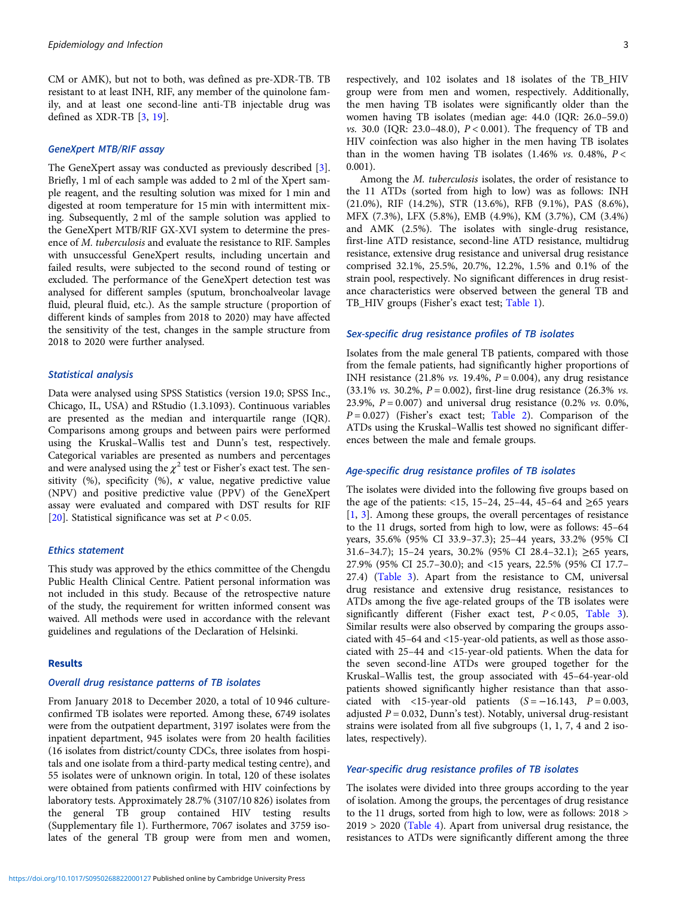CM or AMK), but not to both, was defined as pre-XDR-TB. TB resistant to at least INH, RIF, any member of the quinolone family, and at least one second-line anti-TB injectable drug was defined as XDR-TB [[3](#page-7-0), [19\]](#page-8-0).

#### GeneXpert MTB/RIF assay

The GeneXpert assay was conducted as previously described [\[3\]](#page-7-0). Briefly, 1 ml of each sample was added to 2 ml of the Xpert sample reagent, and the resulting solution was mixed for 1 min and digested at room temperature for 15 min with intermittent mixing. Subsequently, 2 ml of the sample solution was applied to the GeneXpert MTB/RIF GX-XVI system to determine the presence of M. tuberculosis and evaluate the resistance to RIF. Samples with unsuccessful GeneXpert results, including uncertain and failed results, were subjected to the second round of testing or excluded. The performance of the GeneXpert detection test was analysed for different samples (sputum, bronchoalveolar lavage fluid, pleural fluid, etc.). As the sample structure (proportion of different kinds of samples from 2018 to 2020) may have affected the sensitivity of the test, changes in the sample structure from 2018 to 2020 were further analysed.

# Statistical analysis

Data were analysed using SPSS Statistics (version 19.0; SPSS Inc., Chicago, IL, USA) and RStudio (1.3.1093). Continuous variables are presented as the median and interquartile range (IQR). Comparisons among groups and between pairs were performed using the Kruskal–Wallis test and Dunn's test, respectively. Categorical variables are presented as numbers and percentages and were analysed using the  $\chi^2$  test or Fisher's exact test. The sensitivity (%), specificity (%),  $\kappa$  value, negative predictive value (NPV) and positive predictive value (PPV) of the GeneXpert assay were evaluated and compared with DST results for RIF [[20\]](#page-8-0). Statistical significance was set at  $P < 0.05$ .

#### Ethics statement

This study was approved by the ethics committee of the Chengdu Public Health Clinical Centre. Patient personal information was not included in this study. Because of the retrospective nature of the study, the requirement for written informed consent was waived. All methods were used in accordance with the relevant guidelines and regulations of the Declaration of Helsinki.

#### Results

# Overall drug resistance patterns of TB isolates

From January 2018 to December 2020, a total of 10 946 cultureconfirmed TB isolates were reported. Among these, 6749 isolates were from the outpatient department, 3197 isolates were from the inpatient department, 945 isolates were from 20 health facilities (16 isolates from district/county CDCs, three isolates from hospitals and one isolate from a third-party medical testing centre), and 55 isolates were of unknown origin. In total, 120 of these isolates were obtained from patients confirmed with HIV coinfections by laboratory tests. Approximately 28.7% (3107/10 826) isolates from the general TB group contained HIV testing results (Supplementary file 1). Furthermore, 7067 isolates and 3759 isolates of the general TB group were from men and women,

respectively, and 102 isolates and 18 isolates of the TB\_HIV group were from men and women, respectively. Additionally, the men having TB isolates were significantly older than the women having TB isolates (median age: 44.0 (IQR: 26.0–59.0) *vs.* 30.0 (IQR: 23.0–48.0),  $P < 0.001$ ). The frequency of TB and HIV coinfection was also higher in the men having TB isolates than in the women having TB isolates  $(1.46\% \text{ vs. } 0.48\%, P <$ 0.001).

Among the M. tuberculosis isolates, the order of resistance to the 11 ATDs (sorted from high to low) was as follows: INH (21.0%), RIF (14.2%), STR (13.6%), RFB (9.1%), PAS (8.6%), MFX (7.3%), LFX (5.8%), EMB (4.9%), KM (3.7%), CM (3.4%) and AMK (2.5%). The isolates with single-drug resistance, first-line ATD resistance, second-line ATD resistance, multidrug resistance, extensive drug resistance and universal drug resistance comprised 32.1%, 25.5%, 20.7%, 12.2%, 1.5% and 0.1% of the strain pool, respectively. No significant differences in drug resistance characteristics were observed between the general TB and TB\_HIV groups (Fisher's exact test; [Table 1\)](#page-3-0).

#### Sex-specific drug resistance profiles of TB isolates

Isolates from the male general TB patients, compared with those from the female patients, had significantly higher proportions of INH resistance (21.8% *vs.* 19.4%,  $P = 0.004$ ), any drug resistance (33.1% *vs.* 30.2%,  $P = 0.002$ ), first-line drug resistance (26.3% *vs.* 23.9%,  $P = 0.007$ ) and universal drug resistance (0.2% *vs.* 0.0%,  $P = 0.027$ ) (Fisher's exact test; [Table 2\)](#page-3-0). Comparison of the ATDs using the Kruskal–Wallis test showed no significant differences between the male and female groups.

# Age-specific drug resistance profiles of TB isolates

The isolates were divided into the following five groups based on the age of the patients: <15, 15–24, 25–44, 45–64 and  $\geq$ 65 years [\[1,](#page-7-0) [3\]](#page-7-0). Among these groups, the overall percentages of resistance to the 11 drugs, sorted from high to low, were as follows: 45–64 years, 35.6% (95% CI 33.9–37.3); 25–44 years, 33.2% (95% CI 31.6–34.7); 15–24 years, 30.2% (95% CI 28.4–32.1); ≥65 years, 27.9% (95% CI 25.7–30.0); and <15 years, 22.5% (95% CI 17.7– 27.4) ([Table 3\)](#page-4-0). Apart from the resistance to CM, universal drug resistance and extensive drug resistance, resistances to ATDs among the five age-related groups of the TB isolates were significantly different (Fisher exact test,  $P < 0.05$ , [Table 3](#page-4-0)). Similar results were also observed by comparing the groups associated with 45–64 and <15-year-old patients, as well as those associated with 25–44 and <15-year-old patients. When the data for the seven second-line ATDs were grouped together for the Kruskal–Wallis test, the group associated with 45–64-year-old patients showed significantly higher resistance than that associated with <15-year-old patients  $(S = -16.143, P = 0.003,$ adjusted  $P = 0.032$ , Dunn's test). Notably, universal drug-resistant strains were isolated from all five subgroups (1, 1, 7, 4 and 2 isolates, respectively).

# Year-specific drug resistance profiles of TB isolates

The isolates were divided into three groups according to the year of isolation. Among the groups, the percentages of drug resistance to the 11 drugs, sorted from high to low, were as follows: 2018 >  $2019 > 2020$  [\(Table 4\)](#page-5-0). Apart from universal drug resistance, the resistances to ATDs were significantly different among the three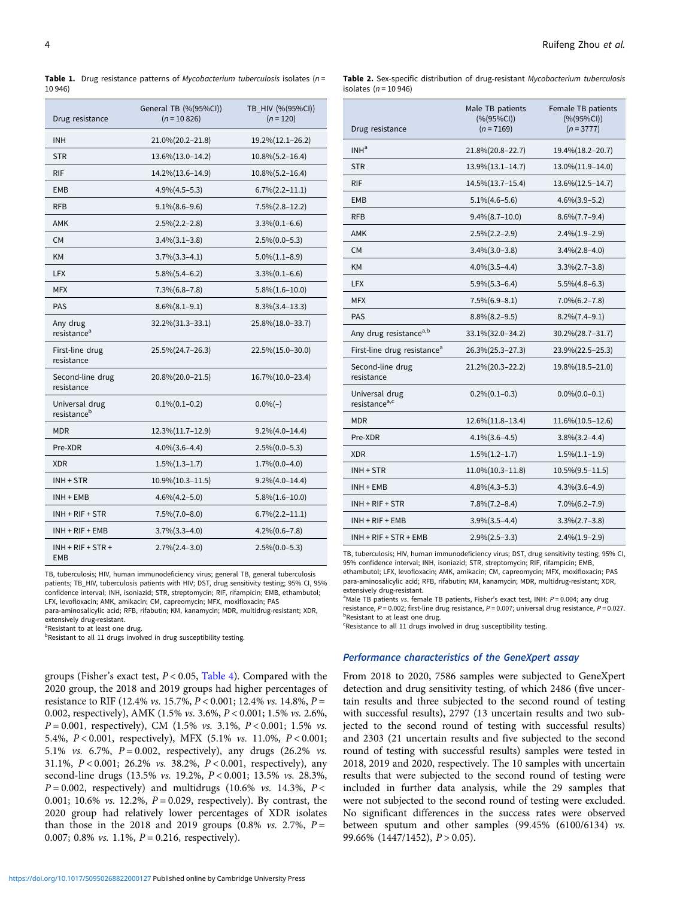<span id="page-3-0"></span>

|         | Table 1. Drug resistance patterns of Mycobacterium tuberculosis isolates (n = |  |  |  |
|---------|-------------------------------------------------------------------------------|--|--|--|
| 10 946) |                                                                               |  |  |  |

| Drug resistance                           | General TB (%(95%CI))<br>$(n = 10826)$ | TB_HIV (%(95%CI))<br>$(n = 120)$ |
|-------------------------------------------|----------------------------------------|----------------------------------|
| <b>INH</b>                                | 21.0%(20.2-21.8)                       | 19.2%(12.1-26.2)                 |
| <b>STR</b>                                | 13.6%(13.0-14.2)                       | $10.8\%(5.2-16.4)$               |
| <b>RIF</b>                                | 14.2%(13.6-14.9)                       | $10.8\%(5.2-16.4)$               |
| <b>EMB</b>                                | $4.9\%(4.5-5.3)$                       | $6.7\%$ $(2.2-11.1)$             |
| <b>RFB</b>                                | $9.1\%(8.6-9.6)$                       | $7.5\%(2.8-12.2)$                |
| AMK                                       | $2.5\%(2.2-2.8)$                       | $3.3\%(0.1-6.6)$                 |
| <b>CM</b>                                 | $3.4\%(3.1-3.8)$                       | $2.5\%(0.0-5.3)$                 |
| <b>KM</b>                                 | $3.7\%(3.3-4.1)$                       | $5.0\%(1.1-8.9)$                 |
| LFX.                                      | $5.8\%(5.4-6.2)$                       | $3.3\%(0.1-6.6)$                 |
| <b>MFX</b>                                | $7.3\%(6.8-7.8)$                       | $5.8\%(1.6-10.0)$                |
| <b>PAS</b>                                | $8.6\%(8.1-9.1)$                       | $8.3\%(3.4-13.3)$                |
| Any drug<br>resistance <sup>a</sup>       | 32.2%(31.3-33.1)                       | 25.8%(18.0-33.7)                 |
| First-line drug<br>resistance             | $25.5\%(24.7-26.3)$                    | 22.5%(15.0–30.0)                 |
| Second-line drug<br>resistance            | 20.8%(20.0-21.5)                       | 16.7%(10.0-23.4)                 |
| Universal drug<br>resistance <sup>b</sup> | $0.1\%$ $(0.1-0.2)$                    | $0.0\%(-)$                       |
| <b>MDR</b>                                | 12.3%(11.7-12.9)                       | $9.2\%(4.0-14.4)$                |
| Pre-XDR                                   | $4.0\%$ $(3.6-4.4)$                    | $2.5\%(0.0-5.3)$                 |
| <b>XDR</b>                                | $1.5\%(1.3-1.7)$                       | $1.7\%(0.0-4.0)$                 |
| INH + STR                                 | $10.9\%(10.3-11.5)$                    | $9.2\%(4.0-14.4)$                |
| INH + EMB                                 | $4.6\%(4.2-5.0)$                       | $5.8\%(1.6-10.0)$                |
| $INH + RIF + STR$                         | $7.5\%(7.0-8.0)$                       | $6.7\%$ $(2.2-11.1)$             |
| $INH + RIF + EMB$                         | $3.7\%(3.3-4.0)$                       | $4.2\%(0.6-7.8)$                 |
| $INH + RIF + STR +$<br>EMB                | $2.7\%(2.4-3.0)$                       | $2.5\%(0.0-5.3)$                 |

TB, tuberculosis; HIV, human immunodeficiency virus; general TB, general tuberculosis patients; TB\_HIV, tuberculosis patients with HIV; DST, drug sensitivity testing; 95% CI, 95% confidence interval; INH, isoniazid; STR, streptomycin; RIF, rifampicin; EMB, ethambutol; LFX, levofloxacin; AMK, amikacin; CM, capreomycin; MFX, moxifloxacin; PAS

para-aminosalicylic acid; RFB, rifabutin; KM, kanamycin; MDR, multidrug-resistant; XDR, extensively drug-resistant.

<sup>a</sup>Resistant to at least one drug.

**bResistant to all 11 drugs involved in drug susceptibility testing.** 

groups (Fisher's exact test,  $P < 0.05$ , [Table 4\)](#page-5-0). Compared with the 2020 group, the 2018 and 2019 groups had higher percentages of resistance to RIF (12.4% *vs.* 15.7%,  $P < 0.001$ ; 12.4% *vs.* 14.8%,  $P =$ 0.002, respectively), AMK (1.5% vs. 3.6%, P < 0.001; 1.5% vs. 2.6%,  $P = 0.001$ , respectively), CM (1.5% vs. 3.1%,  $P < 0.001$ ; 1.5% vs. 5.4%, P < 0.001, respectively), MFX (5.1% vs. 11.0%, P < 0.001; 5.1% vs. 6.7%,  $P = 0.002$ , respectively), any drugs (26.2% vs. 31.1%, P < 0.001; 26.2% vs. 38.2%, P < 0.001, respectively), any second-line drugs (13.5% vs. 19.2%, P < 0.001; 13.5% vs. 28.3%,  $P = 0.002$ , respectively) and multidrugs (10.6% vs. 14.3%,  $P <$ 0.001; 10.6% *vs.* 12.2%,  $P = 0.029$ , respectively). By contrast, the 2020 group had relatively lower percentages of XDR isolates than those in the 2018 and 2019 groups  $(0.8\% \text{ vs. } 2.7\%, P =$ 0.007; 0.8% vs. 1.1%,  $P = 0.216$ , respectively).

| Table 2. Sex-specific distribution of drug-resistant Mycobacterium tuberculosis |  |  |  |
|---------------------------------------------------------------------------------|--|--|--|
| isolates $(n = 10946)$                                                          |  |  |  |

| Drug resistance                             | Male TB patients<br>(% (95%CI))<br>$(n = 7169)$ | Female TB patients<br>(% (95%CI))<br>$(n = 3777)$ |
|---------------------------------------------|-------------------------------------------------|---------------------------------------------------|
| INH <sup>a</sup>                            | 21.8%(20.8-22.7)                                | 19.4% (18.2-20.7)                                 |
| <b>STR</b>                                  | 13.9%(13.1-14.7)                                | 13.0%(11.9-14.0)                                  |
| <b>RIF</b>                                  | 14.5% (13.7-15.4)                               | 13.6% (12.5-14.7)                                 |
| EMB                                         | $5.1\%(4.6-5.6)$                                | $4.6\%(3.9-5.2)$                                  |
| <b>RFB</b>                                  | $9.4\%(8.7-10.0)$                               | $8.6\%(7.7-9.4)$                                  |
| AMK                                         | $2.5\%(2.2-2.9)$                                | $2.4\%$ $(1.9-2.9)$                               |
| <b>CM</b>                                   | $3.4\%(3.0-3.8)$                                | $3.4\%(2.8-4.0)$                                  |
| <b>KM</b>                                   | $4.0\%$ $(3.5-4.4)$                             | $3.3\%(2.7-3.8)$                                  |
| <b>LFX</b>                                  | $5.9\%(5.3-6.4)$                                | $5.5\%(4.8-6.3)$                                  |
| <b>MFX</b>                                  | $7.5\%(6.9-8.1)$                                | $7.0\%(6.2-7.8)$                                  |
| <b>PAS</b>                                  | $8.8\%(8.2-9.5)$                                | $8.2\%(7.4-9.1)$                                  |
| Any drug resistance <sup>a,b</sup>          | 33.1%(32.0-34.2)                                | 30.2%(28.7-31.7)                                  |
| First-line drug resistance <sup>a</sup>     | 26.3%(25.3-27.3)                                | 23.9%(22.5–25.3)                                  |
| Second-line drug<br>resistance              | 21.2%(20.3-22.2)                                | 19.8% (18.5-21.0)                                 |
| Universal drug<br>resistance <sup>a,c</sup> | $0.2\%(0.1-0.3)$                                | $0.0\%$ $(0.0-0.1)$                               |
| <b>MDR</b>                                  | 12.6%(11.8-13.4)                                | 11.6%(10.5-12.6)                                  |
| Pre-XDR                                     | $4.1\%$ $(3.6-4.5)$                             | $3.8\%(3.2-4.4)$                                  |
| <b>XDR</b>                                  | $1.5\%(1.2-1.7)$                                | $1.5\%(1.1-1.9)$                                  |
| INH + STR                                   | 11.0%(10.3-11.8)                                | $10.5\%(9.5-11.5)$                                |
| $INH + EMB$                                 | $4.8\%(4.3-5.3)$                                | $4.3\%(3.6-4.9)$                                  |
| $INH + RIF + STR$                           | $7.8\% (7.2 - 8.4)$                             | $7.0\%(6.2-7.9)$                                  |
| $INH + RIF + EMB$                           | $3.9\%(3.5-4.4)$                                | $3.3\%(2.7-3.8)$                                  |
| $INH + RIF + STR + EMB$                     | $2.9\%(2.5-3.3)$                                | $2.4\%(1.9-2.9)$                                  |

TB, tuberculosis; HIV, human immunodeficiency virus; DST, drug sensitivity testing; 95% CI, 95% confidence interval; INH, isoniazid; STR, streptomycin; RIF, rifampicin; EMB, ethambutol; LFX, levofloxacin; AMK, amikacin; CM, capreomycin; MFX, moxifloxacin; PAS para-aminosalicylic acid; RFB, rifabutin; KM, kanamycin; MDR, multidrug-resistant; XDR, extensively drug-resistant.

<sup>a</sup>Male TB patients vs. female TB patients, Fisher's exact test, INH: P=0.004; any drug resistance,  $P = 0.002$ ; first-line drug resistance,  $P = 0.007$ ; universal drug resistance,  $P = 0.027$ . **PResistant to at least one drug.** 

<sup>c</sup>Resistance to all 11 drugs involved in drug susceptibility testing.

#### Performance characteristics of the GeneXpert assay

From 2018 to 2020, 7586 samples were subjected to GeneXpert detection and drug sensitivity testing, of which 2486 (five uncertain results and three subjected to the second round of testing with successful results), 2797 (13 uncertain results and two subjected to the second round of testing with successful results) and 2303 (21 uncertain results and five subjected to the second round of testing with successful results) samples were tested in 2018, 2019 and 2020, respectively. The 10 samples with uncertain results that were subjected to the second round of testing were included in further data analysis, while the 29 samples that were not subjected to the second round of testing were excluded. No significant differences in the success rates were observed between sputum and other samples (99.45% (6100/6134) vs. 99.66% (1447/1452), P > 0.05).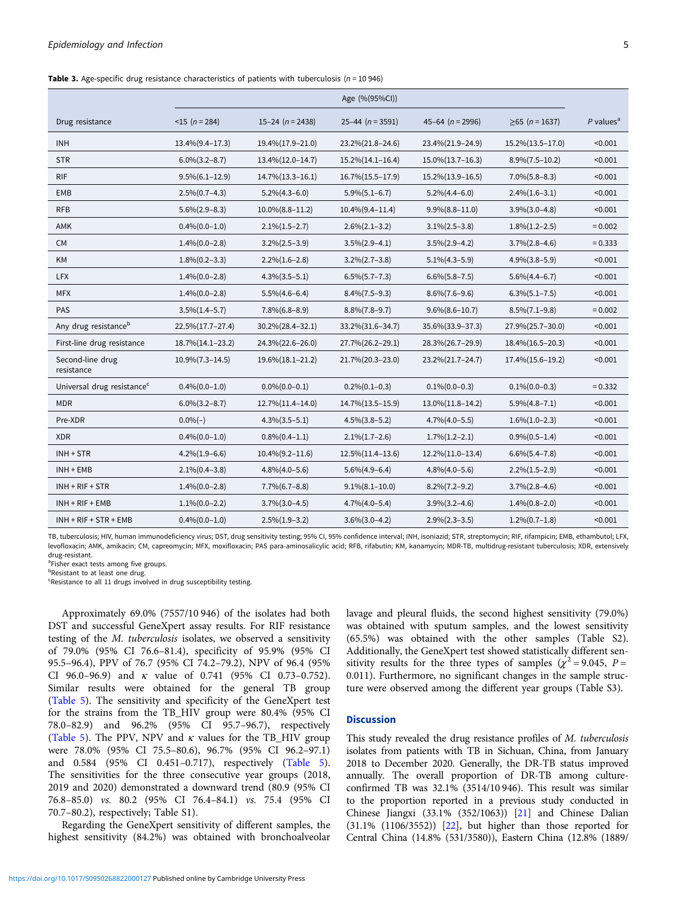<span id="page-4-0"></span>**Table 3.** Age-specific drug resistance characteristics of patients with tuberculosis ( $n = 10946$ )

|                                        | Age (%(95%CI))        |                      |                       |                     |                       |                         |
|----------------------------------------|-----------------------|----------------------|-----------------------|---------------------|-----------------------|-------------------------|
| Drug resistance                        | $<$ 15 (n = 284)      | 15-24 ( $n = 2438$ ) | $25-44$ (n = 3591)    | $45-64$ (n = 2996)  | $\geq 65$ (n = 1637)  | $P$ values <sup>a</sup> |
| <b>INH</b>                             | $13.4\%(9.4-17.3)$    | 19.4%(17.9-21.0)     | 23.2%(21.8-24.6)      | 23.4%(21.9-24.9)    | 15.2%(13.5-17.0)      | < 0.001                 |
| <b>STR</b>                             | $6.0\%(3.2-8.7)$      | 13.4% (12.0-14.7)    | $15.2\%(14.1-16.4)$   | $15.0\%(13.7-16.3)$ | $8.9\%(7.5-10.2)$     | < 0.001                 |
| <b>RIF</b>                             | $9.5\%(6.1-12.9)$     | 14.7%(13.3-16.1)     | 16.7% (15.5-17.9)     | 15.2%(13.9-16.5)    | $7.0\%$ $(5.8-8.3)$   | < 0.001                 |
| EMB                                    | $2.5\%(0.7-4.3)$      | $5.2\%(4.3-6.0)$     | $5.9\%(5.1-6.7)$      | $5.2\%(4.4-6.0)$    | $2.4\%(1.6-3.1)$      | < 0.001                 |
| <b>RFB</b>                             | $5.6\%(2.9-8.3)$      | $10.0\%(8.8-11.2)$   | 10.4%(9.4-11.4)       | $9.9\%(8.8-11.0)$   | $3.9\%(3.0-4.8)$      | < 0.001                 |
| AMK                                    | $0.4\%(0.0-1.0)$      | $2.1\%(1.5-2.7)$     | $2.6\%(2.1-3.2)$      | $3.1\%(2.5-3.8)$    | $1.8\%(1.2-2.5)$      | $= 0.002$               |
| <b>CM</b>                              | $1.4\%(0.0-2.8)$      | $3.2\%(2.5-3.9)$     | $3.5\%(2.9-4.1)$      | $3.5\%(2.9-4.2)$    | $3.7\%(2.8-4.6)$      | $= 0.333$               |
| KM                                     | $1.8\%(0.2-3.3)$      | $2.2\%(1.6-2.8)$     | $3.2\%(2.7-3.8)$      | $5.1\%(4.3-5.9)$    | $4.9\%(3.8-5.9)$      | < 0.001                 |
| <b>LFX</b>                             | $1.4\%(0.0-2.8)$      | $4.3\%(3.5-5.1)$     | $6.5\%(5.7-7.3)$      | $6.6\%(5.8-7.5)$    | $5.6\%(4.4-6.7)$      | < 0.001                 |
| <b>MFX</b>                             | $1.4\%(0.0-2.8)$      | $5.5\%(4.6-6.4)$     | $8.4\%(7.5-9.3)$      | $8.6\%(7.6-9.6)$    | $6.3\%(5.1-7.5)$      | < 0.001                 |
| PAS                                    | $3.5\%(1.4-5.7)$      | $7.8\%(6.8-8.9)$     | $8.8\%(7.8-9.7)$      | $9.6\%(8.6-10.7)$   | $8.5\%(7.1-9.8)$      | $= 0.002$               |
| Any drug resistance <sup>b</sup>       | 22.5%(17.7-27.4)      | 30.2%(28.4-32.1)     | 33.2%(31.6-34.7)      | 35.6%(33.9-37.3)    | 27.9%(25.7-30.0)      | < 0.001                 |
| First-line drug resistance             | 18.7% (14.1-23.2)     | 24.3%(22.6-26.0)     | 27.7%(26.2-29.1)      | 28.3%(26.7-29.9)    | 18.4%(16.5-20.3)      | < 0.001                 |
| Second-line drug<br>resistance         | $10.9\%$ $(7.3-14.5)$ | 19.6%(18.1-21.2)     | 21.7%(20.3-23.0)      | 23.2%(21.7-24.7)    | 17.4% (15.6-19.2)     | < 0.001                 |
| Universal drug resistance <sup>c</sup> | $0.4\%(0.0-1.0)$      | $0.0\%$ $(0.0-0.1)$  | $0.2\%(0.1-0.3)$      | $0.1\%(0.0-0.3)$    | $0.1\%(0.0-0.3)$      | $= 0.332$               |
| <b>MDR</b>                             | $6.0\%(3.2-8.7)$      | 12.7% (11.4-14.0)    | 14.7% (13.5-15.9)     | 13.0%(11.8-14.2)    | $5.9\%(4.8-7.1)$      | < 0.001                 |
| Pre-XDR                                | $0.0\%(-)$            | $4.3\%(3.5-5.1)$     | $4.5\%(3.8-5.2)$      | $4.7\%(4.0-5.5)$    | $1.6\%(1.0-2.3)$      | < 0.001                 |
| <b>XDR</b>                             | $0.4\%$ $(0.0-1.0)$   | $0.8\%(0.4-1.1)$     | $2.1\%$ $(1.7-2.6)$   | $1.7\%(1.2-2.1)$    | $0.9\%$ $(0.5-1.4)$   | < 0.001                 |
| $INH + STR$                            | $4.2\%(1.9-6.6)$      | $10.4\%(9.2-11.6)$   | 12.5%(11.4-13.6)      | 12.2%(11.0-13.4)    | $6.6\%$ $(5.4 - 7.8)$ | < 0.001                 |
| $INH + EMB$                            | $2.1\%(0.4-3.8)$      | $4.8\%(4.0-5.6)$     | $5.6\%(4.9-6.4)$      | $4.8\%(4.0-5.6)$    | $2.2\%(1.5-2.9)$      | < 0.001                 |
| $INH + RIF + STR$                      | $1.4\%(0.0-2.8)$      | $7.7\%(6.7-8.8)$     | $9.1\%(8.1-10.0)$     | $8.2\%(7.2-9.2)$    | $3.7\%(2.8-4.6)$      | < 0.001                 |
| $INH + RIF + EMB$                      | $1.1\%(0.0-2.2)$      | $3.7\%$ $(3.0-4.5)$  | $4.7\%$ $(4.0 - 5.4)$ | $3.9\%(3.2-4.6)$    | $1.4\%(0.8-2.0)$      | < 0.001                 |
| $INH + RIF + STR + EMB$                | $0.4\%$ $(0.0-1.0)$   | $2.5\%(1.9-3.2)$     | $3.6\%(3.0-4.2)$      | $2.9\%(2.3-3.5)$    | $1.2\%(0.7-1.8)$      | < 0.001                 |

TB, tuberculosis; HIV, human immunodeficiency virus; DST, drug sensitivity testing; 95% CI, 95% confidence interval; INH, isoniazid; STR, streptomycin; RIF, rifampicin; EMB, ethambutol; LFX, levofloxacin; AMK, amikacin; CM, capreomycin; MFX, moxifloxacin; PAS para-aminosalicylic acid; RFB, rifabutin; KM, kanamycin; MDR-TB, multidrug-resistant tuberculosis; XDR, extensively drug-resistant.

<sup>a</sup>Fisher exact tests among five groups.

**b**Resistant to at least one drug.

<sup>c</sup>Resistance to all 11 drugs involved in drug susceptibility testing.

Approximately 69.0% (7557/10 946) of the isolates had both DST and successful GeneXpert assay results. For RIF resistance testing of the M. tuberculosis isolates, we observed a sensitivity of 79.0% (95% CI 76.6–81.4), specificity of 95.9% (95% CI 95.5–96.4), PPV of 76.7 (95% CI 74.2–79.2), NPV of 96.4 (95% CI 96.0–96.9) and  $\kappa$  value of 0.741 (95% CI 0.73–0.752). Similar results were obtained for the general TB group ([Table 5](#page-6-0)). The sensitivity and specificity of the GeneXpert test for the strains from the TB\_HIV group were 80.4% (95% CI 78.0–82.9) and 96.2% (95% CI 95.7–96.7), respectively ([Table 5](#page-6-0)). The PPV, NPV and  $\kappa$  values for the TB\_HIV group were 78.0% (95% CI 75.5–80.6), 96.7% (95% CI 96.2–97.1) and 0.584 (95% CI 0.451–0.717), respectively ([Table 5\)](#page-6-0). The sensitivities for the three consecutive year groups (2018, 2019 and 2020) demonstrated a downward trend (80.9 (95% CI 76.8–85.0) vs. 80.2 (95% CI 76.4–84.1) vs. 75.4 (95% CI 70.7–80.2), respectively; Table S1).

Regarding the GeneXpert sensitivity of different samples, the highest sensitivity (84.2%) was obtained with bronchoalveolar lavage and pleural fluids, the second highest sensitivity (79.0%) was obtained with sputum samples, and the lowest sensitivity (65.5%) was obtained with the other samples (Table S2). Additionally, the GeneXpert test showed statistically different sensitivity results for the three types of samples ( $\chi^2$  = 9.045, P = 0.011). Furthermore, no significant changes in the sample structure were observed among the different year groups (Table S3).

#### **Discussion**

This study revealed the drug resistance profiles of M. tuberculosis isolates from patients with TB in Sichuan, China, from January 2018 to December 2020. Generally, the DR-TB status improved annually. The overall proportion of DR-TB among cultureconfirmed TB was 32.1% (3514/10 946). This result was similar to the proportion reported in a previous study conducted in Chinese Jiangxi (33.1% (352/1063)) [[21](#page-8-0)] and Chinese Dalian (31.1% (1106/3552)) [\[22\]](#page-8-0), but higher than those reported for Central China (14.8% (531/3580)), Eastern China (12.8% (1889/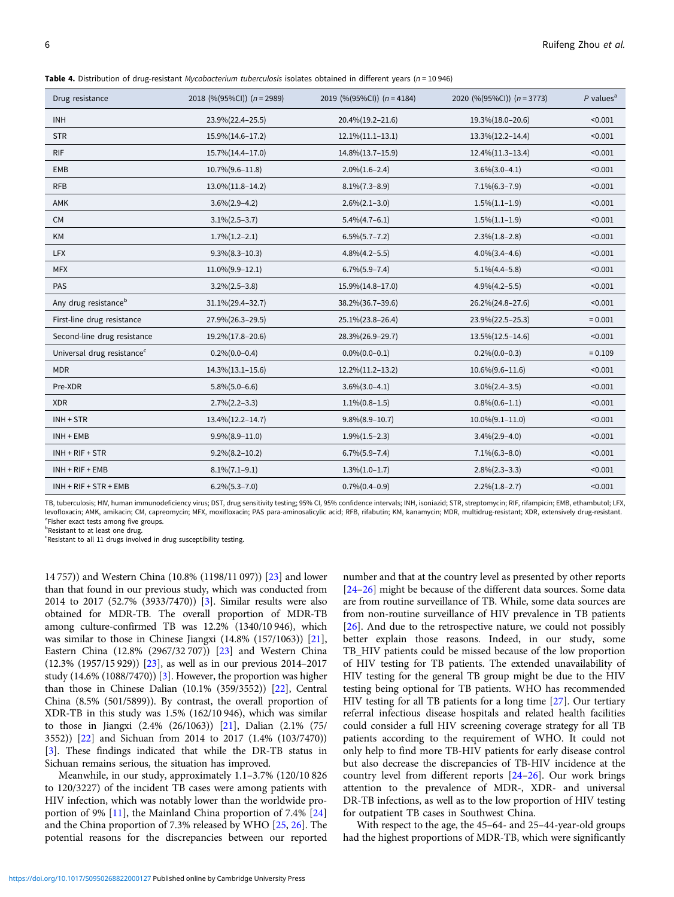<span id="page-5-0"></span>Table 4. Distribution of drug-resistant Mycobacterium tuberculosis isolates obtained in different years ( $n = 10946$ )

| Drug resistance                        | 2018 (%(95%CI)) $(n = 2989)$ | 2019 (%(95%CI)) $(n = 4184)$ | 2020 (%(95%CI)) $(n = 3773)$ | $P$ values <sup>a</sup> |
|----------------------------------------|------------------------------|------------------------------|------------------------------|-------------------------|
| <b>INH</b>                             | 23.9%(22.4-25.5)             | 20.4%(19.2-21.6)             | 19.3%(18.0-20.6)             | < 0.001                 |
| <b>STR</b>                             | 15.9%(14.6-17.2)             | $12.1\%(11.1-13.1)$          | 13.3%(12.2-14.4)             | < 0.001                 |
| <b>RIF</b>                             | 15.7% (14.4-17.0)            | 14.8%(13.7-15.9)             | 12.4%(11.3-13.4)             | < 0.001                 |
| <b>EMB</b>                             | $10.7\%$ $(9.6-11.8)$        | $2.0\%(1.6-2.4)$             | $3.6\%(3.0-4.1)$             | < 0.001                 |
| <b>RFB</b>                             | 13.0%(11.8-14.2)             | $8.1\%$ $(7.3-8.9)$          | $7.1\%(6.3-7.9)$             | < 0.001                 |
| AMK                                    | $3.6\%(2.9-4.2)$             | $2.6\%(2.1-3.0)$             | $1.5\%(1.1-1.9)$             | < 0.001                 |
| <b>CM</b>                              | $3.1\%(2.5-3.7)$             | $5.4\%(4.7-6.1)$             | $1.5\%(1.1-1.9)$             | < 0.001                 |
| KM                                     | $1.7\%$ $(1.2-2.1)$          | $6.5\%(5.7-7.2)$             | $2.3\%(1.8-2.8)$             | < 0.001                 |
| <b>LFX</b>                             | $9.3\%(8.3-10.3)$            | $4.8\%(4.2-5.5)$             | $4.0\%$ $(3.4-4.6)$          | < 0.001                 |
| <b>MFX</b>                             | $11.0\%(9.9-12.1)$           | $6.7\%$ $(5.9 - 7.4)$        | $5.1\%$ (4.4-5.8)            | < 0.001                 |
| PAS                                    | $3.2\%(2.5-3.8)$             | 15.9%(14.8-17.0)             | $4.9\%$ $(4.2 - 5.5)$        | < 0.001                 |
| Any drug resistance <sup>b</sup>       | 31.1%(29.4-32.7)             | 38.2%(36.7-39.6)             | 26.2%(24.8-27.6)             | < 0.001                 |
| First-line drug resistance             | 27.9%(26.3-29.5)             | 25.1%(23.8-26.4)             | 23.9%(22.5-25.3)             | $= 0.001$               |
| Second-line drug resistance            | 19.2%(17.8-20.6)             | 28.3%(26.9-29.7)             | 13.5% (12.5-14.6)            | < 0.001                 |
| Universal drug resistance <sup>c</sup> | $0.2\%$ $(0.0-0.4)$          | $0.0\%$ $(0.0-0.1)$          | $0.2\%(0.0-0.3)$             | $= 0.109$               |
| <b>MDR</b>                             | $14.3\%(13.1-15.6)$          | 12.2%(11.2-13.2)             | $10.6\%(9.6-11.6)$           | < 0.001                 |
| Pre-XDR                                | $5.8\%(5.0-6.6)$             | $3.6\%(3.0-4.1)$             | $3.0\%(2.4-3.5)$             | < 0.001                 |
| <b>XDR</b>                             | $2.7\%(2.2-3.3)$             | $1.1\%(0.8-1.5)$             | $0.8\%(0.6-1.1)$             | < 0.001                 |
| $INH + STR$                            | 13.4% (12.2-14.7)            | $9.8\%(8.9-10.7)$            | $10.0\%(9.1-11.0)$           | < 0.001                 |
| $INH + EMB$                            | $9.9\%(8.9-11.0)$            | $1.9\%(1.5-2.3)$             | $3.4\%(2.9-4.0)$             | < 0.001                 |
| $INH + RIF + STR$                      | $9.2\%(8.2-10.2)$            | $6.7\%$ $(5.9 - 7.4)$        | $7.1\%(6.3-8.0)$             | < 0.001                 |
| $INH + RIF + EMB$                      | $8.1\%$ $(7.1-9.1)$          | $1.3\%(1.0-1.7)$             | $2.8\%(2.3-3.3)$             | < 0.001                 |
| INH + RIF + STR + EMB                  | $6.2\%(5.3-7.0)$             | $0.7\%$ $(0.4-0.9)$          | $2.2\%(1.8-2.7)$             | < 0.001                 |

TB, tuberculosis; HIV, human immunodeficiency virus; DST, drug sensitivity testing; 95% CI, 95% confidence intervals; INH, isoniazid; STR, streptomycin; RIF, rifampicin; EMB, ethambutol; LFX, levofloxacin; AMK, amikacin; CM, capreomycin; MFX, moxifloxacin; PAS para-aminosalicylic acid; RFB, rifabutin; KM, kanamycin; MDR, multidrug-resistant; XDR, extensively drug-resistant. <sup>a</sup>Fisher exact tests among five groups.

**b**Resistant to at least one drug.

<sup>c</sup>Resistant to all 11 drugs involved in drug susceptibility testing.

14 757)) and Western China (10.8% (1198/11 097)) [\[23](#page-8-0)] and lower than that found in our previous study, which was conducted from 2014 to 2017 (52.7% (3933/7470)) [[3](#page-7-0)]. Similar results were also obtained for MDR-TB. The overall proportion of MDR-TB among culture-confirmed TB was 12.2% (1340/10 946), which was similar to those in Chinese Jiangxi (14.8% (157/1063)) [\[21\]](#page-8-0), Eastern China (12.8% (2967/32 707)) [[23\]](#page-8-0) and Western China (12.3% (1957/15 929)) [[23\]](#page-8-0), as well as in our previous 2014–2017 study (14.6% (1088/7470)) [\[3\]](#page-7-0). However, the proportion was higher than those in Chinese Dalian (10.1% (359/3552)) [\[22](#page-8-0)], Central China (8.5% (501/5899)). By contrast, the overall proportion of XDR-TB in this study was 1.5% (162/10 946), which was similar to those in Jiangxi (2.4% (26/1063)) [\[21](#page-8-0)], Dalian (2.1% (75/ 3552)) [[22](#page-8-0)] and Sichuan from 2014 to 2017 (1.4% (103/7470)) [[3](#page-7-0)]. These findings indicated that while the DR-TB status in Sichuan remains serious, the situation has improved.

Meanwhile, in our study, approximately 1.1–3.7% (120/10 826 to 120/3227) of the incident TB cases were among patients with HIV infection, which was notably lower than the worldwide proportion of 9% [\[11\]](#page-7-0), the Mainland China proportion of 7.4% [[24\]](#page-8-0) and the China proportion of 7.3% released by WHO [[25,](#page-8-0) [26\]](#page-8-0). The potential reasons for the discrepancies between our reported number and that at the country level as presented by other reports [[24](#page-8-0)–[26\]](#page-8-0) might be because of the different data sources. Some data are from routine surveillance of TB. While, some data sources are from non-routine surveillance of HIV prevalence in TB patients [[26\]](#page-8-0). And due to the retrospective nature, we could not possibly better explain those reasons. Indeed, in our study, some TB\_HIV patients could be missed because of the low proportion of HIV testing for TB patients. The extended unavailability of HIV testing for the general TB group might be due to the HIV testing being optional for TB patients. WHO has recommended HIV testing for all TB patients for a long time [\[27](#page-8-0)]. Our tertiary referral infectious disease hospitals and related health facilities could consider a full HIV screening coverage strategy for all TB patients according to the requirement of WHO. It could not only help to find more TB-HIV patients for early disease control but also decrease the discrepancies of TB-HIV incidence at the country level from different reports [[24](#page-8-0)–[26\]](#page-8-0). Our work brings attention to the prevalence of MDR-, XDR- and universal DR-TB infections, as well as to the low proportion of HIV testing for outpatient TB cases in Southwest China.

With respect to the age, the 45–64- and 25–44-year-old groups had the highest proportions of MDR-TB, which were significantly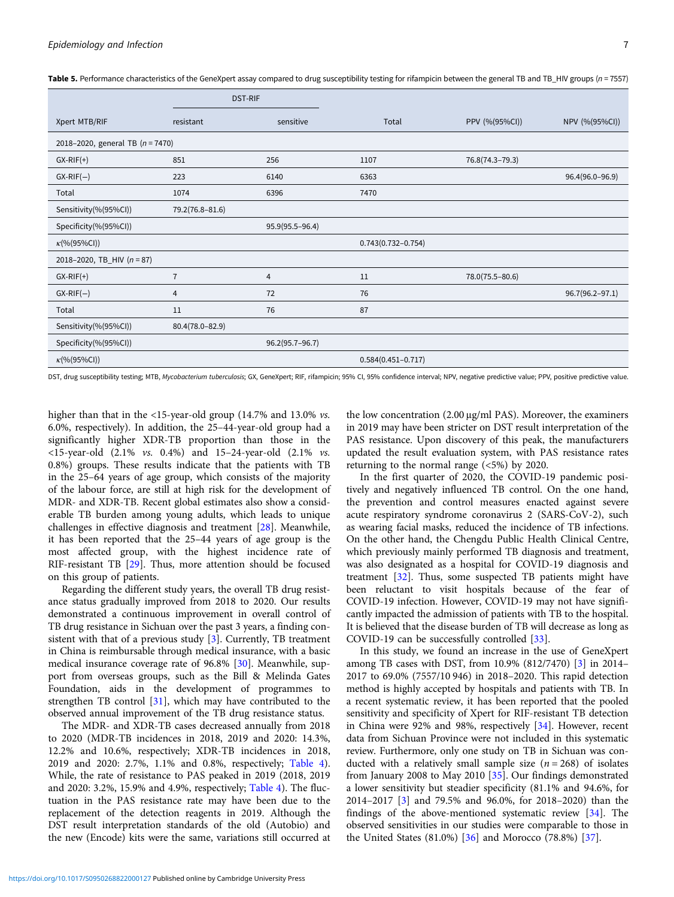|                                    | <b>DST-RIF</b>  |                     |                        |                 |                 |
|------------------------------------|-----------------|---------------------|------------------------|-----------------|-----------------|
| Xpert MTB/RIF                      | resistant       | sensitive           | Total                  | PPV (%(95%CI))  | NPV (%(95%CI))  |
| 2018-2020, general TB $(n = 7470)$ |                 |                     |                        |                 |                 |
| $GX-RIF(+)$                        | 851             | 256                 | 1107                   | 76.8(74.3-79.3) |                 |
| $GX-RIF(-)$                        | 223             | 6140                | 6363                   |                 | 96.4(96.0-96.9) |
| Total                              | 1074            | 6396                | 7470                   |                 |                 |
| Sensitivity(%(95%Cl))              | 79.2(76.8-81.6) |                     |                        |                 |                 |
| Specificity(%(95%Cl))              |                 | $95.9(95.5 - 96.4)$ |                        |                 |                 |
| $\kappa$ (%(95%CI))                |                 |                     | $0.743(0.732 - 0.754)$ |                 |                 |
| 2018-2020, TB_HIV $(n = 87)$       |                 |                     |                        |                 |                 |
| $GX-RIF(+)$                        | $\overline{7}$  | 4                   | 11                     | 78.0(75.5-80.6) |                 |
| $GX-RIF(-)$                        | 4               | 72                  | 76                     |                 | 96.7(96.2-97.1) |
| Total                              | 11              | 76                  | 87                     |                 |                 |
| Sensitivity(%(95%CI))              | 80.4(78.0-82.9) |                     |                        |                 |                 |
| Specificity(%(95%CI))              |                 | 96.2(95.7-96.7)     |                        |                 |                 |
| $\kappa$ (%(95%CI))                |                 |                     | $0.584(0.451 - 0.717)$ |                 |                 |

<span id="page-6-0"></span>Table 5. Performance characteristics of the GeneXpert assay compared to drug susceptibility testing for rifampicin between the general TB and TB HIV groups (n = 7557)

DST, drug susceptibility testing; MTB, Mycobacterium tuberculosis; GX, GeneXpert; RIF, rifampicin; 95% CI, 95% confidence interval; NPV, negative predictive value; PPV, positive predictive value.

higher than that in the <15-year-old group (14.7% and 13.0% *vs.* 6.0%, respectively). In addition, the 25–44-year-old group had a significantly higher XDR-TB proportion than those in the <15-year-old (2.1% vs. 0.4%) and 15–24-year-old (2.1% vs. 0.8%) groups. These results indicate that the patients with TB in the 25–64 years of age group, which consists of the majority of the labour force, are still at high risk for the development of MDR- and XDR-TB. Recent global estimates also show a considerable TB burden among young adults, which leads to unique challenges in effective diagnosis and treatment [\[28](#page-8-0)]. Meanwhile, it has been reported that the 25–44 years of age group is the most affected group, with the highest incidence rate of RIF-resistant TB [\[29](#page-8-0)]. Thus, more attention should be focused on this group of patients.

Regarding the different study years, the overall TB drug resistance status gradually improved from 2018 to 2020. Our results demonstrated a continuous improvement in overall control of TB drug resistance in Sichuan over the past 3 years, a finding consistent with that of a previous study [[3](#page-7-0)]. Currently, TB treatment in China is reimbursable through medical insurance, with a basic medical insurance coverage rate of 96.8% [[30\]](#page-8-0). Meanwhile, support from overseas groups, such as the Bill & Melinda Gates Foundation, aids in the development of programmes to strengthen TB control [\[31\]](#page-8-0), which may have contributed to the observed annual improvement of the TB drug resistance status.

The MDR- and XDR-TB cases decreased annually from 2018 to 2020 (MDR-TB incidences in 2018, 2019 and 2020: 14.3%, 12.2% and 10.6%, respectively; XDR-TB incidences in 2018, 2019 and 2020: 2.7%, 1.1% and 0.8%, respectively; [Table 4\)](#page-5-0). While, the rate of resistance to PAS peaked in 2019 (2018, 2019 and 2020: 3.2%, 15.9% and 4.9%, respectively; [Table 4\)](#page-5-0). The fluctuation in the PAS resistance rate may have been due to the replacement of the detection reagents in 2019. Although the DST result interpretation standards of the old (Autobio) and the new (Encode) kits were the same, variations still occurred at

the low concentration (2.00 μg/ml PAS). Moreover, the examiners in 2019 may have been stricter on DST result interpretation of the PAS resistance. Upon discovery of this peak, the manufacturers updated the result evaluation system, with PAS resistance rates returning to the normal range (<5%) by 2020.

In the first quarter of 2020, the COVID-19 pandemic positively and negatively influenced TB control. On the one hand, the prevention and control measures enacted against severe acute respiratory syndrome coronavirus 2 (SARS-CoV-2), such as wearing facial masks, reduced the incidence of TB infections. On the other hand, the Chengdu Public Health Clinical Centre, which previously mainly performed TB diagnosis and treatment, was also designated as a hospital for COVID-19 diagnosis and treatment [[32](#page-8-0)]. Thus, some suspected TB patients might have been reluctant to visit hospitals because of the fear of COVID-19 infection. However, COVID-19 may not have significantly impacted the admission of patients with TB to the hospital. It is believed that the disease burden of TB will decrease as long as COVID-19 can be successfully controlled [[33](#page-8-0)].

In this study, we found an increase in the use of GeneXpert among TB cases with DST, from 10.9% (812/7470) [[3](#page-7-0)] in 2014– 2017 to 69.0% (7557/10 946) in 2018–2020. This rapid detection method is highly accepted by hospitals and patients with TB. In a recent systematic review, it has been reported that the pooled sensitivity and specificity of Xpert for RIF-resistant TB detection in China were 92% and 98%, respectively [\[34](#page-8-0)]. However, recent data from Sichuan Province were not included in this systematic review. Furthermore, only one study on TB in Sichuan was conducted with a relatively small sample size  $(n = 268)$  of isolates from January 2008 to May 2010 [[35\]](#page-8-0). Our findings demonstrated a lower sensitivity but steadier specificity (81.1% and 94.6%, for 2014–2017 [[3](#page-7-0)] and 79.5% and 96.0%, for 2018–2020) than the findings of the above-mentioned systematic review [[34\]](#page-8-0). The observed sensitivities in our studies were comparable to those in the United States (81.0%) [\[36](#page-8-0)] and Morocco (78.8%) [\[37](#page-8-0)].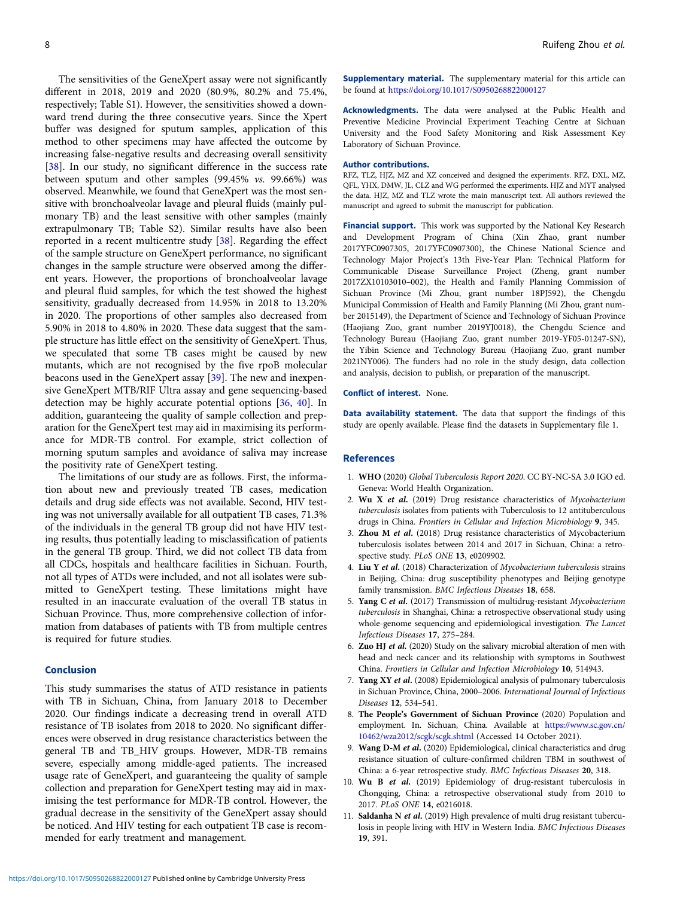<span id="page-7-0"></span>The sensitivities of the GeneXpert assay were not significantly different in 2018, 2019 and 2020 (80.9%, 80.2% and 75.4%, respectively; Table S1). However, the sensitivities showed a downward trend during the three consecutive years. Since the Xpert buffer was designed for sputum samples, application of this method to other specimens may have affected the outcome by increasing false-negative results and decreasing overall sensitivity [[38](#page-8-0)]. In our study, no significant difference in the success rate between sputum and other samples (99.45% vs. 99.66%) was observed. Meanwhile, we found that GeneXpert was the most sensitive with bronchoalveolar lavage and pleural fluids (mainly pulmonary TB) and the least sensitive with other samples (mainly extrapulmonary TB; Table S2). Similar results have also been reported in a recent multicentre study [[38](#page-8-0)]. Regarding the effect of the sample structure on GeneXpert performance, no significant changes in the sample structure were observed among the different years. However, the proportions of bronchoalveolar lavage and pleural fluid samples, for which the test showed the highest sensitivity, gradually decreased from 14.95% in 2018 to 13.20% in 2020. The proportions of other samples also decreased from 5.90% in 2018 to 4.80% in 2020. These data suggest that the sample structure has little effect on the sensitivity of GeneXpert. Thus, we speculated that some TB cases might be caused by new mutants, which are not recognised by the five rpoB molecular beacons used in the GeneXpert assay [\[39\]](#page-8-0). The new and inexpensive GeneXpert MTB/RIF Ultra assay and gene sequencing-based detection may be highly accurate potential options [\[36](#page-8-0), [40](#page-8-0)]. In addition, guaranteeing the quality of sample collection and preparation for the GeneXpert test may aid in maximising its performance for MDR-TB control. For example, strict collection of morning sputum samples and avoidance of saliva may increase the positivity rate of GeneXpert testing.

The limitations of our study are as follows. First, the information about new and previously treated TB cases, medication details and drug side effects was not available. Second, HIV testing was not universally available for all outpatient TB cases, 71.3% of the individuals in the general TB group did not have HIV testing results, thus potentially leading to misclassification of patients in the general TB group. Third, we did not collect TB data from all CDCs, hospitals and healthcare facilities in Sichuan. Fourth, not all types of ATDs were included, and not all isolates were submitted to GeneXpert testing. These limitations might have resulted in an inaccurate evaluation of the overall TB status in Sichuan Province. Thus, more comprehensive collection of information from databases of patients with TB from multiple centres is required for future studies.

# Conclusion

This study summarises the status of ATD resistance in patients with TB in Sichuan, China, from January 2018 to December 2020. Our findings indicate a decreasing trend in overall ATD resistance of TB isolates from 2018 to 2020. No significant differences were observed in drug resistance characteristics between the general TB and TB\_HIV groups. However, MDR-TB remains severe, especially among middle-aged patients. The increased usage rate of GeneXpert, and guaranteeing the quality of sample collection and preparation for GeneXpert testing may aid in maximising the test performance for MDR-TB control. However, the gradual decrease in the sensitivity of the GeneXpert assay should be noticed. And HIV testing for each outpatient TB case is recommended for early treatment and management.

**Supplementary material.** The supplementary material for this article can be found at <https://doi.org/10.1017/S0950268822000127>

Acknowledgments. The data were analysed at the Public Health and Preventive Medicine Provincial Experiment Teaching Centre at Sichuan University and the Food Safety Monitoring and Risk Assessment Key Laboratory of Sichuan Province.

#### Author contributions.

RFZ, TLZ, HJZ, MZ and XZ conceived and designed the experiments. RFZ, DXL, MZ, QFL, YHX, DMW, JL, CLZ and WG performed the experiments. HJZ and MYT analysed the data. HJZ, MZ and TLZ wrote the main manuscript text. All authors reviewed the manuscript and agreed to submit the manuscript for publication.

Financial support. This work was supported by the National Key Research and Development Program of China (Xin Zhao, grant number 2017YFC0907305, 2017YFC0907300), the Chinese National Science and Technology Major Project's 13th Five-Year Plan: Technical Platform for Communicable Disease Surveillance Project (Zheng, grant number 2017ZX10103010–002), the Health and Family Planning Commission of Sichuan Province (Mi Zhou, grant number 18PJ592), the Chengdu Municipal Commission of Health and Family Planning (Mi Zhou, grant number 2015149), the Department of Science and Technology of Sichuan Province (Haojiang Zuo, grant number 2019YJ0018), the Chengdu Science and Technology Bureau (Haojiang Zuo, grant number 2019-YF05-01247-SN), the Yibin Science and Technology Bureau (Haojiang Zuo, grant number 2021NY006). The funders had no role in the study design, data collection and analysis, decision to publish, or preparation of the manuscript.

#### Conflict of interest. None.

Data availability statement. The data that support the findings of this study are openly available. Please find the datasets in Supplementary file 1.

#### **References**

- 1. WHO (2020) Global Tuberculosis Report 2020. CC BY-NC-SA 3.0 IGO ed. Geneva: World Health Organization.
- 2. Wu X et al.  $(2019)$  Drug resistance characteristics of Mycobacterium tuberculosis isolates from patients with Tuberculosis to 12 antituberculous drugs in China. Frontiers in Cellular and Infection Microbiology 9, 345.
- 3. Zhou M et al. (2018) Drug resistance characteristics of Mycobacterium tuberculosis isolates between 2014 and 2017 in Sichuan, China: a retrospective study. PLoS ONE 13, e0209902.
- 4. Liu Y et al. (2018) Characterization of Mycobacterium tuberculosis strains in Beijing, China: drug susceptibility phenotypes and Beijing genotype family transmission. BMC Infectious Diseases 18, 658.
- 5. Yang C et al. (2017) Transmission of multidrug-resistant Mycobacterium tuberculosis in Shanghai, China: a retrospective observational study using whole-genome sequencing and epidemiological investigation. The Lancet Infectious Diseases 17, 275–284.
- 6. Zuo HJ et al. (2020) Study on the salivary microbial alteration of men with head and neck cancer and its relationship with symptoms in Southwest China. Frontiers in Cellular and Infection Microbiology 10, 514943.
- 7. Yang XY et al. (2008) Epidemiological analysis of pulmonary tuberculosis in Sichuan Province, China, 2000–2006. International Journal of Infectious Diseases 12, 534–541.
- 8. The People's Government of Sichuan Province (2020) Population and employment. In. Sichuan, China. Available at [https://www.sc.gov.cn/](https://www.sc.gov.cn/10462/wza2012/scgk/scgk.shtml) [10462/wza2012/scgk/scgk.shtml](https://www.sc.gov.cn/10462/wza2012/scgk/scgk.shtml) (Accessed 14 October 2021).
- 9. Wang D-M et al. (2020) Epidemiological, clinical characteristics and drug resistance situation of culture-confirmed children TBM in southwest of China: a 6-year retrospective study. BMC Infectious Diseases 20, 318.
- 10. Wu B et al. (2019) Epidemiology of drug-resistant tuberculosis in Chongqing, China: a retrospective observational study from 2010 to 2017. PLoS ONE 14, e0216018.
- 11. Saldanha N et al. (2019) High prevalence of multi drug resistant tuberculosis in people living with HIV in Western India. BMC Infectious Diseases 19, 391.